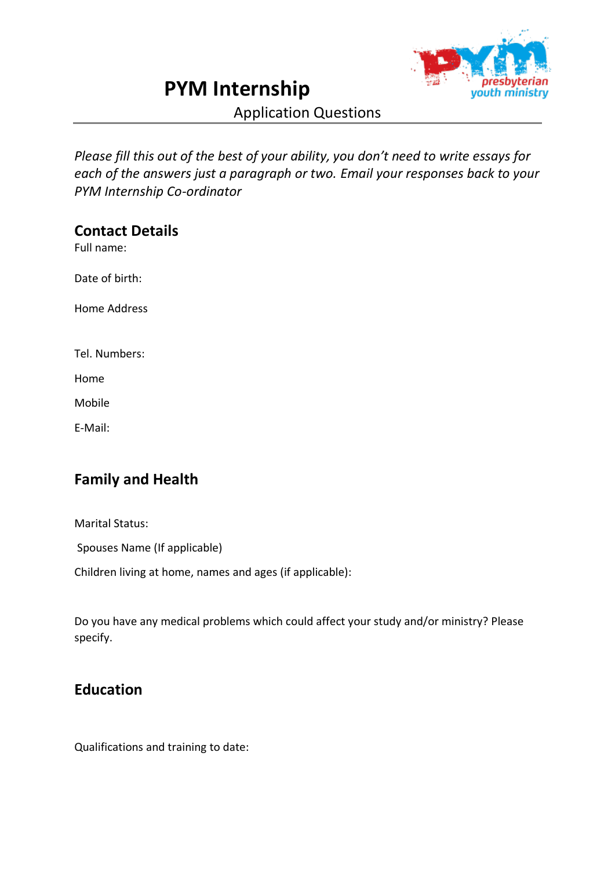# **PYM Internship**



Application Questions

*Please fill this out of the best of your ability, you don't need to write essays for each of the answers just a paragraph or two. Email your responses back to your PYM Internship Co-ordinator*

#### **Contact Details**

Full name:

Date of birth:

Home Address

Tel. Numbers:

Home

Mobile

E-Mail:

## **Family and Health**

Marital Status:

Spouses Name (If applicable)

Children living at home, names and ages (if applicable):

Do you have any medical problems which could affect your study and/or ministry? Please specify.

#### **Education**

Qualifications and training to date: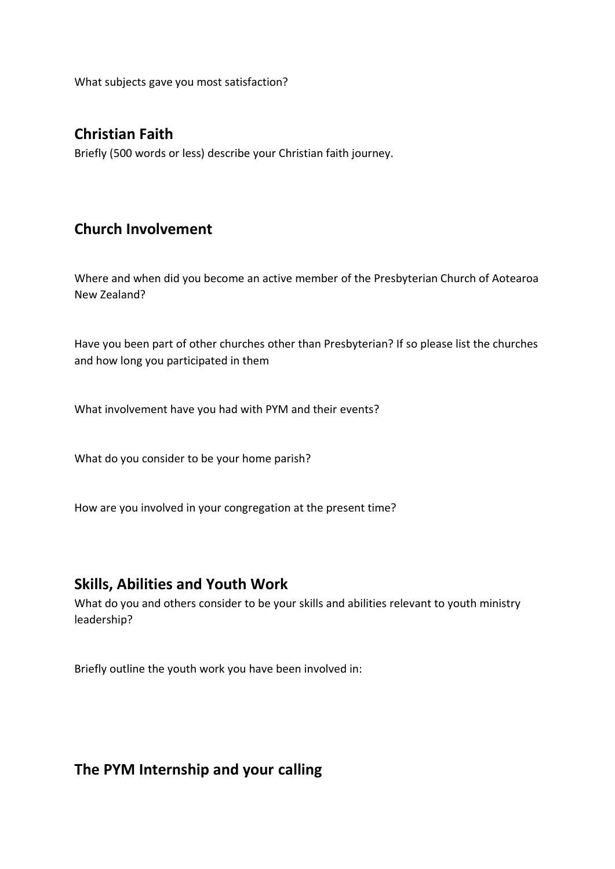What subjects gave you most satisfaction?

#### **Christian Faith**

Briefly (500 words or less) describe your Christian faith journey.

#### **Church Involvement**

Where and when did you become an active member of the Presbyterian Church of Aotearoa New Zealand?

Have you been part of other churches other than Presbyterian? If so please list the churches and how long you participated in them

What involvement have you had with PYM and their events?

What do you consider to be your home parish?

How are you involved in your congregation at the present time?

#### **Skills, Abilities and Youth Work**

What do you and others consider to be your skills and abilities relevant to youth ministry leadership?

Briefly outline the youth work you have been involved in:

#### **The PYM Internship and your calling**